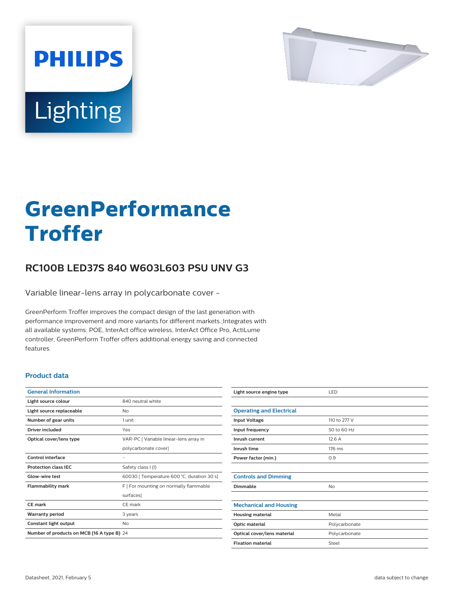

# Lighting

**PHILIPS** 

# **GreenPerformance Troffer**

## **RC100B LED37S 840 W603L603 PSU UNV G3**

Variable linear-lens array in polycarbonate cover -

GreenPerform Troffer improves the compact design of the last generation with performance improvement and more variants for different markets.;Integrates with all available systems: POE, InterAct office wireless, InterAct Office Pro, ActiLume controller, GreenPerform Troffer offers additional energy saving and connected features.

#### **Product data**

| <b>General Information</b>                 |                                            |
|--------------------------------------------|--------------------------------------------|
| Light source colour                        | 840 neutral white                          |
| Light source replaceable                   | Nο                                         |
| Number of gear units                       | 1 unit                                     |
| Driver included                            | Yes                                        |
| Optical cover/lens type                    | VAR-PC [ Variable linear-lens array in     |
|                                            | polycarbonate cover]                       |
| Control interface                          |                                            |
| <b>Protection class IEC</b>                | Safety class I (I)                         |
| Glow-wire test                             | 60030   Temperature 600 °C, duration 30 s] |
| <b>Flammability mark</b>                   | F [ For mounting on normally flammable     |
|                                            | surfaces]                                  |
| CF mark                                    | CF mark                                    |
| <b>Warranty period</b>                     | 3 years                                    |
| Constant light output                      | No                                         |
| Number of products on MCB (16 A type B) 24 |                                            |

| Light source engine type        | LED           |
|---------------------------------|---------------|
|                                 |               |
| <b>Operating and Electrical</b> |               |
| <b>Input Voltage</b>            | 110 to 277 V  |
| Input frequency                 | 50 to 60 Hz   |
| Inrush current                  | 12.6A         |
| Inrush time                     | 176 ms        |
| Power factor (min.)             | 0.9           |
|                                 |               |
| <b>Controls and Dimming</b>     |               |
| Dimmable                        | No            |
|                                 |               |
| <b>Mechanical and Housing</b>   |               |
| <b>Housing material</b>         | Metal         |
| Optic material                  | Polycarbonate |
| Optical cover/lens material     | Polycarbonate |
| <b>Fixation material</b>        | Steel         |
|                                 |               |